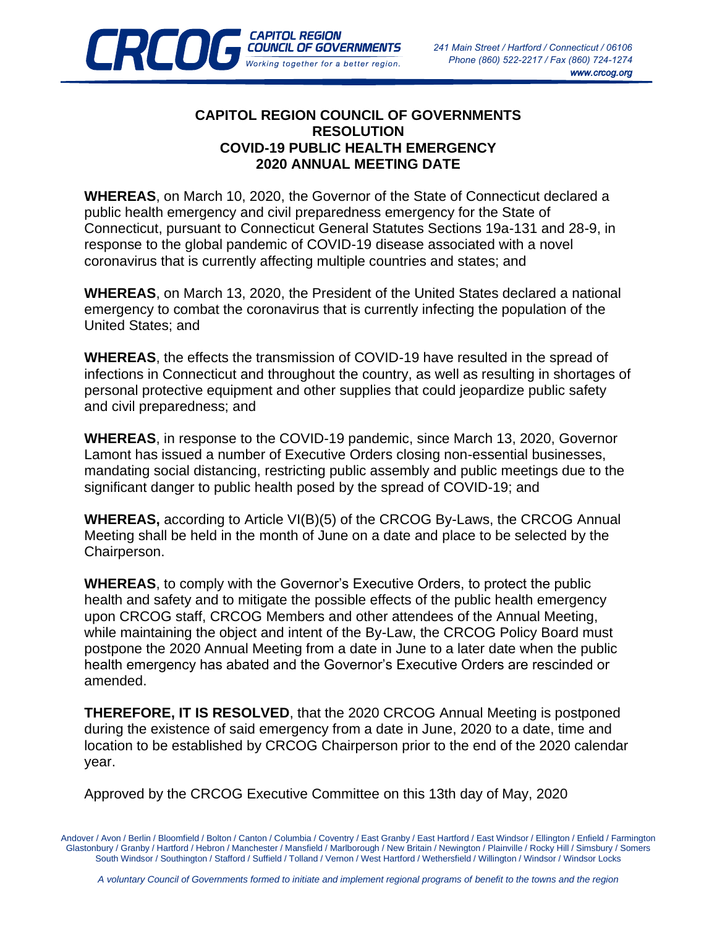

## **CAPITOL REGION COUNCIL OF GOVERNMENTS RESOLUTION COVID-19 PUBLIC HEALTH EMERGENCY 2020 ANNUAL MEETING DATE**

**CAPITOL REGION** 

**CREDIT COUNCIL OF GOVERNMENTS** 

**WHEREAS**, on March 10, 2020, the Governor of the State of Connecticut declared a public health emergency and civil preparedness emergency for the State of Connecticut, pursuant to Connecticut General Statutes Sections 19a-131 and 28-9, in response to the global pandemic of COVID-19 disease associated with a novel coronavirus that is currently affecting multiple countries and states; and

**WHEREAS**, on March 13, 2020, the President of the United States declared a national emergency to combat the coronavirus that is currently infecting the population of the United States; and

**WHEREAS**, the effects the transmission of COVID-19 have resulted in the spread of infections in Connecticut and throughout the country, as well as resulting in shortages of personal protective equipment and other supplies that could jeopardize public safety and civil preparedness; and

**WHEREAS**, in response to the COVID-19 pandemic, since March 13, 2020, Governor Lamont has issued a number of Executive Orders closing non-essential businesses, mandating social distancing, restricting public assembly and public meetings due to the significant danger to public health posed by the spread of COVID-19; and

**WHEREAS,** according to Article VI(B)(5) of the CRCOG By-Laws, the CRCOG Annual Meeting shall be held in the month of June on a date and place to be selected by the Chairperson.

**WHEREAS**, to comply with the Governor's Executive Orders, to protect the public health and safety and to mitigate the possible effects of the public health emergency upon CRCOG staff, CRCOG Members and other attendees of the Annual Meeting, while maintaining the object and intent of the By-Law, the CRCOG Policy Board must postpone the 2020 Annual Meeting from a date in June to a later date when the public health emergency has abated and the Governor's Executive Orders are rescinded or amended.

**THEREFORE, IT IS RESOLVED**, that the 2020 CRCOG Annual Meeting is postponed during the existence of said emergency from a date in June, 2020 to a date, time and location to be established by CRCOG Chairperson prior to the end of the 2020 calendar year.

Approved by the CRCOG Executive Committee on this 13th day of May, 2020

Andover / Avon / Berlin / Bloomfield / Bolton / Canton / Columbia / Coventry / East Granby / East Hartford / East Windsor / Ellington / Enfield / Farmington Glastonbury / Granby / Hartford / Hebron / Manchester / Mansfield / Marlborough / New Britain / Newington / Plainville / Rocky Hill / Simsbury / Somers South Windsor / Southington / Stafford / Suffield / Tolland / Vernon / West Hartford / Wethersfield / Willington / Windsor / Windsor Locks